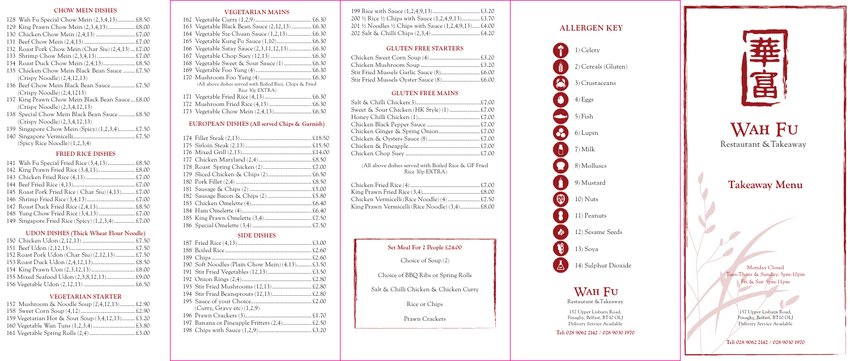WAH FU Restaurant &Takeaway

# **Takeaway Menu**

Monday Closed Tues-Thurs & Sunday: 5pm-10pm Fri & Sat: 5pm-11pm

> 157 Upper Lisburn Road, Finaghy, Belfast, BT10 OLJ Delivery Service Available

**Tel: 028 9062 2142 / 028 9030 1970**

| 200 ½ Rice ½ Chips with Sauce (1,2,4,9,13)£3.70    |  |
|----------------------------------------------------|--|
| 201 ½ Noodles ½ Chips with Sauce (1,2,4,9,13)£4.00 |  |
|                                                    |  |

#### **GLUTEN FREE STARTERS**

| Stir Fried Mussels Oyster Sauce (8) £6.00 |  |
|-------------------------------------------|--|

#### **GLUTEN FREE MAINS**

| Sweet & Sour Chicken (HK Style) (1)  £7.00 |  |
|--------------------------------------------|--|
|                                            |  |
|                                            |  |
|                                            |  |
|                                            |  |
|                                            |  |
|                                            |  |
|                                            |  |

(All above dishes served with Boiled Rice & GF Fried Rice 30p EXTRA)

| King Prawn Vermicelli (Rice Noodle) (3,4) £8.00 |  |
|-------------------------------------------------|--|

#### **VEGETARIAN MAINS**

| 163 Vegetable Black Bean Sauce (2,12,13)  £6.30          |  |
|----------------------------------------------------------|--|
| 164 Vegetable Sze Chuan Sauce (1,2,13) £6.30             |  |
|                                                          |  |
| 166 Vegetable Satay Sauce (2,3,11,12,13) £6.30           |  |
|                                                          |  |
| 168 Vegetable Sweet & Sour Sauce (1)  £6.30              |  |
|                                                          |  |
|                                                          |  |
| (All above dishes served with Boiled Rice, Chips & Fried |  |
| Rice 30p EXTRA)                                          |  |
|                                                          |  |
|                                                          |  |
|                                                          |  |

157 Upper Lisburn Road, Finaghy, Belfast, BT10 OLJ Delivery Service Available

#### **EUROPEAN DISHES (All served Chips & Garnish)**

#### **SIDE DISHES**

|  | 190 Soft Noodles (Plain Chow Mein) (4.13) £3.50 |  |
|--|-------------------------------------------------|--|
|  |                                                 |  |
|  |                                                 |  |
|  |                                                 |  |
|  |                                                 |  |
|  |                                                 |  |
|  | (Carry, Gray etc) (1,2,9)                       |  |
|  |                                                 |  |
|  | 197 Banana or Pineapple Fritters (2,4) £2.50    |  |
|  |                                                 |  |
|  |                                                 |  |

### **Set Meal For 2 People £24.00**

Choice of Soup (2)

Choice of BBQ Ribs or Spring Rolls

Salt & Chilli Chicken & Chicken Curry

Rice or Chips

Prawn Crackers

Restaurant &Takeaway

**Tel: 028 9062 2142 / 028 9030 1970**



#### **CHOW MEIN DISHES**

| 128 Wah Fu Special Chow Mein (2,3,4,13) £8.50       |
|-----------------------------------------------------|
|                                                     |
|                                                     |
|                                                     |
| 132 Roast Pork Chow Mein (Char Siu) (2,4,13)  £7.00 |
|                                                     |
|                                                     |
| 135 Chicken Chow Mein Black Bean Sauce  £7.50       |
| $(Crispy Noodle)$ $(2,4,12,13)$                     |
| 136 Beef Chow Mein Black Bean Sauce£7.50            |
| $(Crispy Noodle)$ $(2,4,1213)$                      |
| 137 King Prawn Chow Mein Black Bean Sauce£8.00      |
| (Crispy Noodle) (2,3,4,12,13)                       |
| 138 Special Chow Mein Black Bean Sauce£8.50         |
| (Crispy Noodle) (2,3,4,12,13)                       |
| 139 Singapore Chow Mein (Spicy) (1,2,3,4) £7.50     |

140 Singapore Vermicelli......................................... £7.50 (Spicy Rice Noodle) (1,2,3,4)

#### **FRIED RICE DISHES**

| 141 Wah Fu Special Fried Rice (3,4,13) £8.50      |  |
|---------------------------------------------------|--|
|                                                   |  |
|                                                   |  |
|                                                   |  |
| 145 Roast Pork Fried Rice (Char Siu) (4,13) £7.00 |  |
|                                                   |  |
|                                                   |  |
|                                                   |  |
| 149 Singapore Fried Rice (Spicy) (1,2,3,4) £7.00  |  |
|                                                   |  |

#### **UDON DISHES (Thick Wheat Flour Noodle)**

| 152 Roast Pork Udon (Char Siu) (2,12,13)£7.50 |  |
|-----------------------------------------------|--|
|                                               |  |
|                                               |  |
| 155 Mixed Seafood Udon (2,3,8,12,13) £9.00    |  |
|                                               |  |

#### **VEGETARIAN STARTER**

| 157 Mushroom & Noodle Soup (2,4,12,13)£2.90      |  |
|--------------------------------------------------|--|
|                                                  |  |
| 159 Vegetarian Hot & Sour Soup (3,4,12,13) £3.20 |  |
|                                                  |  |
|                                                  |  |

# **ALLERGEN KEY**

8 ⊛  $\mathcal{L}$  $\mathcal{B}$ 

1) Celery

2) Cereals (Gluten)

3) Crustaceans

4) Eggs

5) Fish

6) Lupin

7) Milk

8) Molluscs

9) Mustard

10) Nuts

11) Peanuts

12) Sesame Seeds

13) Soya

14) Sulphur Dioxide

WAH FU